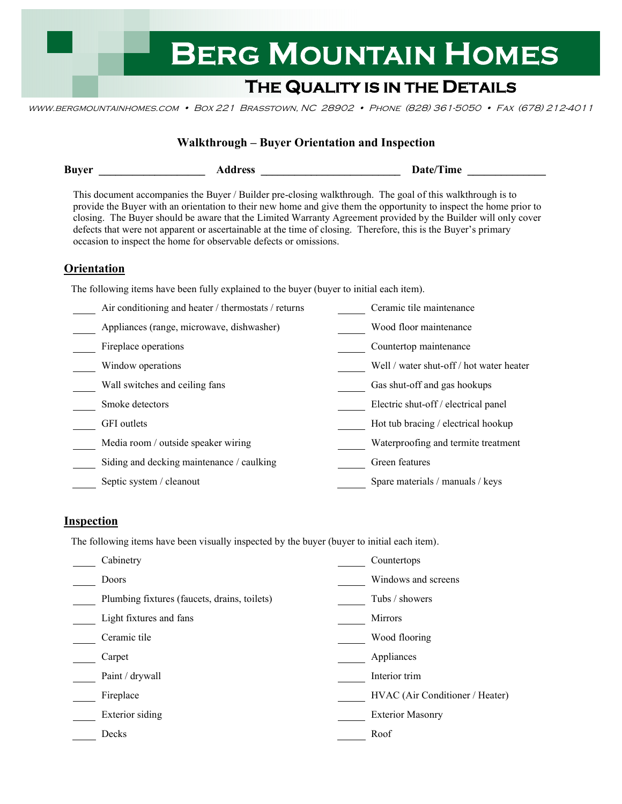# **BERG MOUNTAIN HOMES**

## **THE QUALITY IS IN THE DETAILS**

www.bergmountainhomes.com • Box 221 Brasstown, NC 28902 • Phone (828) 361-5050 • Fax (678) 212-4011

| <b>Walkthrough - Buyer Orientation and Inspection</b>                                                                                                                                                                                                                                                                                                                                                                                                                                                                                    |                                                                                          |  |                                          |  |  |  |
|------------------------------------------------------------------------------------------------------------------------------------------------------------------------------------------------------------------------------------------------------------------------------------------------------------------------------------------------------------------------------------------------------------------------------------------------------------------------------------------------------------------------------------------|------------------------------------------------------------------------------------------|--|------------------------------------------|--|--|--|
| <b>Buyer</b>                                                                                                                                                                                                                                                                                                                                                                                                                                                                                                                             |                                                                                          |  | Date/Time                                |  |  |  |
| This document accompanies the Buyer / Builder pre-closing walkthrough. The goal of this walkthrough is to<br>provide the Buyer with an orientation to their new home and give them the opportunity to inspect the home prior to<br>closing. The Buyer should be aware that the Limited Warranty Agreement provided by the Builder will only cover<br>defects that were not apparent or ascertainable at the time of closing. Therefore, this is the Buyer's primary<br>occasion to inspect the home for observable defects or omissions. |                                                                                          |  |                                          |  |  |  |
| <b>Orientation</b>                                                                                                                                                                                                                                                                                                                                                                                                                                                                                                                       |                                                                                          |  |                                          |  |  |  |
|                                                                                                                                                                                                                                                                                                                                                                                                                                                                                                                                          | The following items have been fully explained to the buyer (buyer to initial each item). |  |                                          |  |  |  |
|                                                                                                                                                                                                                                                                                                                                                                                                                                                                                                                                          | Air conditioning and heater / thermostats / returns                                      |  | Ceramic tile maintenance                 |  |  |  |
|                                                                                                                                                                                                                                                                                                                                                                                                                                                                                                                                          | Appliances (range, microwave, dishwasher)                                                |  | Wood floor maintenance                   |  |  |  |
| Fireplace operations                                                                                                                                                                                                                                                                                                                                                                                                                                                                                                                     |                                                                                          |  | Countertop maintenance                   |  |  |  |
| Window operations                                                                                                                                                                                                                                                                                                                                                                                                                                                                                                                        |                                                                                          |  | Well / water shut-off / hot water heater |  |  |  |
|                                                                                                                                                                                                                                                                                                                                                                                                                                                                                                                                          | Wall switches and ceiling fans                                                           |  | Gas shut-off and gas hookups             |  |  |  |
| Smoke detectors                                                                                                                                                                                                                                                                                                                                                                                                                                                                                                                          |                                                                                          |  | Electric shut-off / electrical panel     |  |  |  |
| <b>GFI</b> outlets                                                                                                                                                                                                                                                                                                                                                                                                                                                                                                                       |                                                                                          |  | Hot tub bracing / electrical hookup      |  |  |  |
|                                                                                                                                                                                                                                                                                                                                                                                                                                                                                                                                          | Media room / outside speaker wiring                                                      |  | Waterproofing and termite treatment      |  |  |  |
|                                                                                                                                                                                                                                                                                                                                                                                                                                                                                                                                          | Siding and decking maintenance / caulking                                                |  | Green features                           |  |  |  |
|                                                                                                                                                                                                                                                                                                                                                                                                                                                                                                                                          | Septic system / cleanout                                                                 |  | Spare materials / manuals / keys         |  |  |  |

#### **Inspection**

The following items have been visually inspected by the buyer (buyer to initial each item).

| Cabinetry                                    | Countertops                     |
|----------------------------------------------|---------------------------------|
| Doors                                        | Windows and screens             |
| Plumbing fixtures (faucets, drains, toilets) | Tubs / showers                  |
| Light fixtures and fans                      | <b>Mirrors</b>                  |
| Ceramic tile                                 | Wood flooring                   |
| Carpet                                       | Appliances                      |
| Paint / drywall                              | Interior trim                   |
| Fireplace                                    | HVAC (Air Conditioner / Heater) |
| Exterior siding                              | <b>Exterior Masonry</b>         |
| Decks                                        | Roof                            |